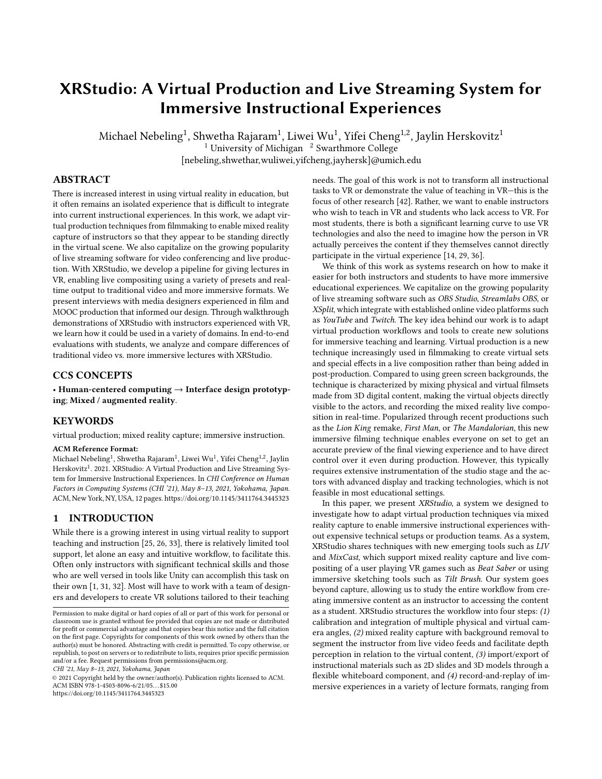# XRStudio: A Virtual Production and Live Streaming System for Immersive Instructional Experiences

Michael Nebeling $^1$ , Shwetha Rajaram $^1$ , Liwei Wu $^1$ , Yifei Cheng $^{1,2}$ , Jaylin Herskovitz $^1$ <sup>1</sup> University of Michigan  $\frac{2}{3}$  Swarthmore College [nebeling,shwethar,wuliwei,yifcheng,jayhersk]@umich.edu

# ABSTRACT

There is increased interest in using virtual reality in education, but it often remains an isolated experience that is difficult to integrate into current instructional experiences. In this work, we adapt virtual production techniques from filmmaking to enable mixed reality capture of instructors so that they appear to be standing directly in the virtual scene. We also capitalize on the growing popularity of live streaming software for video conferencing and live production. With XRStudio, we develop a pipeline for giving lectures in VR, enabling live compositing using a variety of presets and realtime output to traditional video and more immersive formats. We present interviews with media designers experienced in film and MOOC production that informed our design. Through walkthrough demonstrations of XRStudio with instructors experienced with VR, we learn how it could be used in a variety of domains. In end-to-end evaluations with students, we analyze and compare differences of traditional video vs. more immersive lectures with XRStudio.

# CCS CONCEPTS

• Human-centered computing → Interface design prototyping; Mixed / augmented reality.

# **KEYWORDS**

virtual production; mixed reality capture; immersive instruction.

#### ACM Reference Format:

 $\rm{Michael} \, Nebeling^1, \, Shwetha \, Rajaram^1, \, Livei \, Wu^1, \, Yifei \, Cheng^{1,2}, \, Jaylin$ Herskovitz<sup>1</sup>. 2021. XRStudio: A Virtual Production and Live Streaming System for Immersive Instructional Experiences. In CHI Conference on Human Factors in Computing Systems (CHI '21), May 8–13, 2021, Yokohama, Japan. ACM, New York, NY, USA, [12](#page-11-0) pages.<https://doi.org/10.1145/3411764.3445323>

# 1 INTRODUCTION

While there is a growing interest in using virtual reality to support teaching and instruction [\[25,](#page-10-0) [26,](#page-10-1) [33\]](#page-11-1), there is relatively limited tool support, let alone an easy and intuitive workflow, to facilitate this. Often only instructors with significant technical skills and those who are well versed in tools like Unity can accomplish this task on their own [\[1,](#page-10-2) [31,](#page-10-3) [32\]](#page-11-2). Most will have to work with a team of designers and developers to create VR solutions tailored to their teaching

CHI '21, May 8–13, 2021, Yokohama, Japan

© 2021 Copyright held by the owner/author(s). Publication rights licensed to ACM. ACM ISBN 978-1-4503-8096-6/21/05. . . \$15.00 <https://doi.org/10.1145/3411764.3445323>

needs. The goal of this work is not to transform all instructional tasks to VR or demonstrate the value of teaching in VR—this is the focus of other research [\[42\]](#page-11-3). Rather, we want to enable instructors who wish to teach in VR and students who lack access to VR. For most students, there is both a significant learning curve to use VR technologies and also the need to imagine how the person in VR actually perceives the content if they themselves cannot directly participate in the virtual experience [\[14,](#page-10-4) [29,](#page-10-5) [36\]](#page-11-4).

We think of this work as systems research on how to make it easier for both instructors and students to have more immersive educational experiences. We capitalize on the growing popularity of live streaming software such as OBS Studio, Streamlabs OBS, or XSplit, which integrate with established online video platforms such as YouTube and Twitch. The key idea behind our work is to adapt virtual production workflows and tools to create new solutions for immersive teaching and learning. Virtual production is a new technique increasingly used in filmmaking to create virtual sets and special effects in a live composition rather than being added in post-production. Compared to using green screen backgrounds, the technique is characterized by mixing physical and virtual filmsets made from 3D digital content, making the virtual objects directly visible to the actors, and recording the mixed reality live composition in real-time. Popularized through recent productions such as the Lion King remake, First Man, or The Mandalorian, this new immersive filming technique enables everyone on set to get an accurate preview of the final viewing experience and to have direct control over it even during production. However, this typically requires extensive instrumentation of the studio stage and the actors with advanced display and tracking technologies, which is not feasible in most educational settings.

In this paper, we present XRStudio, a system we designed to investigate how to adapt virtual production techniques via mixed reality capture to enable immersive instructional experiences without expensive technical setups or production teams. As a system, XRStudio shares techniques with new emerging tools such as LIV and MixCast, which support mixed reality capture and live compositing of a user playing VR games such as Beat Saber or using immersive sketching tools such as Tilt Brush. Our system goes beyond capture, allowing us to study the entire workflow from creating immersive content as an instructor to accessing the content as a student. XRStudio structures the workflow into four steps: (1) calibration and integration of multiple physical and virtual camera angles, (2) mixed reality capture with background removal to segment the instructor from live video feeds and facilitate depth perception in relation to the virtual content, (3) import/export of instructional materials such as 2D slides and 3D models through a flexible whiteboard component, and (4) record-and-replay of immersive experiences in a variety of lecture formats, ranging from

Permission to make digital or hard copies of all or part of this work for personal or classroom use is granted without fee provided that copies are not made or distributed for profit or commercial advantage and that copies bear this notice and the full citation on the first page. Copyrights for components of this work owned by others than the author(s) must be honored. Abstracting with credit is permitted. To copy otherwise, or republish, to post on servers or to redistribute to lists, requires prior specific permission and/or a fee. Request permissions from permissions@acm.org.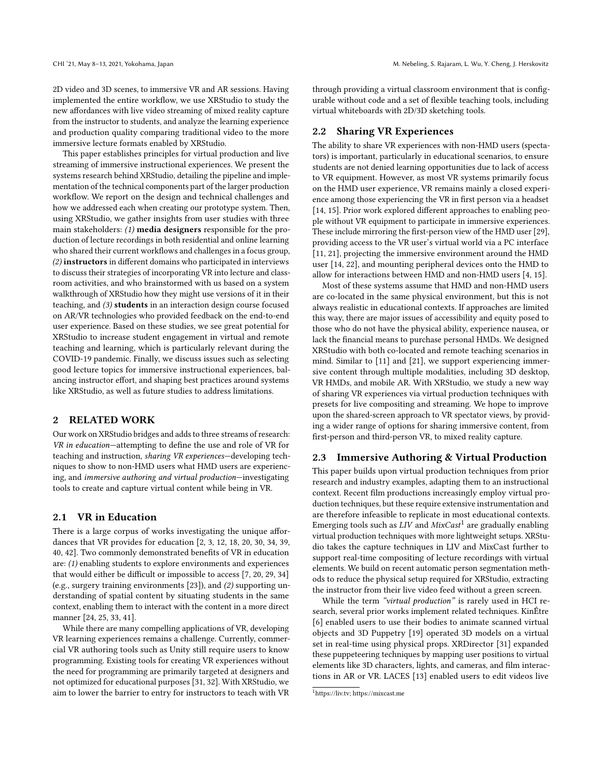2D video and 3D scenes, to immersive VR and AR sessions. Having implemented the entire workflow, we use XRStudio to study the new affordances with live video streaming of mixed reality capture from the instructor to students, and analyze the learning experience and production quality comparing traditional video to the more immersive lecture formats enabled by XRStudio.

This paper establishes principles for virtual production and live streaming of immersive instructional experiences. We present the systems research behind XRStudio, detailing the pipeline and implementation of the technical components part of the larger production workflow. We report on the design and technical challenges and how we addressed each when creating our prototype system. Then, using XRStudio, we gather insights from user studies with three main stakeholders:  $(1)$  media designers responsible for the production of lecture recordings in both residential and online learning who shared their current workflows and challenges in a focus group, (2) instructors in different domains who participated in interviews to discuss their strategies of incorporating VR into lecture and classroom activities, and who brainstormed with us based on a system walkthrough of XRStudio how they might use versions of it in their teaching, and (3) students in an interaction design course focused on AR/VR technologies who provided feedback on the end-to-end user experience. Based on these studies, we see great potential for XRStudio to increase student engagement in virtual and remote teaching and learning, which is particularly relevant during the COVID-19 pandemic. Finally, we discuss issues such as selecting good lecture topics for immersive instructional experiences, balancing instructor effort, and shaping best practices around systems like XRStudio, as well as future studies to address limitations.

#### 2 RELATED WORK

Our work on XRStudio bridges and adds to three streams of research: VR in education—attempting to define the use and role of VR for teaching and instruction, sharing VR experiences—developing techniques to show to non-HMD users what HMD users are experiencing, and immersive authoring and virtual production—investigating tools to create and capture virtual content while being in VR.

#### 2.1 VR in Education

There is a large corpus of works investigating the unique affordances that VR provides for education [\[2,](#page-10-6) [3,](#page-10-7) [12,](#page-10-8) [18,](#page-10-9) [20,](#page-10-10) [30,](#page-10-11) [34,](#page-11-5) [39,](#page-11-6) [40,](#page-11-7) [42\]](#page-11-3). Two commonly demonstrated benefits of VR in education are: (1) enabling students to explore environments and experiences that would either be difficult or impossible to access [\[7,](#page-10-12) [20,](#page-10-10) [29,](#page-10-5) [34\]](#page-11-5) (e.g., surgery training environments [\[23\]](#page-10-13)), and (2) supporting understanding of spatial content by situating students in the same context, enabling them to interact with the content in a more direct manner [\[24,](#page-10-14) [25,](#page-10-0) [33,](#page-11-1) [41\]](#page-11-8).

While there are many compelling applications of VR, developing VR learning experiences remains a challenge. Currently, commercial VR authoring tools such as Unity still require users to know programming. Existing tools for creating VR experiences without the need for programming are primarily targeted at designers and not optimized for educational purposes [\[31,](#page-10-3) [32\]](#page-11-2). With XRStudio, we aim to lower the barrier to entry for instructors to teach with VR through providing a virtual classroom environment that is configurable without code and a set of flexible teaching tools, including virtual whiteboards with 2D/3D sketching tools.

# 2.2 Sharing VR Experiences

The ability to share VR experiences with non-HMD users (spectators) is important, particularly in educational scenarios, to ensure students are not denied learning opportunities due to lack of access to VR equipment. However, as most VR systems primarily focus on the HMD user experience, VR remains mainly a closed experience among those experiencing the VR in first person via a headset [\[14,](#page-10-4) [15\]](#page-10-15). Prior work explored different approaches to enabling people without VR equipment to participate in immersive experiences. These include mirroring the first-person view of the HMD user [\[29\]](#page-10-5), providing access to the VR user's virtual world via a PC interface [\[11,](#page-10-16) [21\]](#page-10-17), projecting the immersive environment around the HMD user [\[14,](#page-10-4) [22\]](#page-10-18), and mounting peripheral devices onto the HMD to allow for interactions between HMD and non-HMD users [\[4,](#page-10-19) [15\]](#page-10-15).

Most of these systems assume that HMD and non-HMD users are co-located in the same physical environment, but this is not always realistic in educational contexts. If approaches are limited this way, there are major issues of accessibility and equity posed to those who do not have the physical ability, experience nausea, or lack the financial means to purchase personal HMDs. We designed XRStudio with both co-located and remote teaching scenarios in mind. Similar to [\[11\]](#page-10-16) and [\[21\]](#page-10-17), we support experiencing immersive content through multiple modalities, including 3D desktop, VR HMDs, and mobile AR. With XRStudio, we study a new way of sharing VR experiences via virtual production techniques with presets for live compositing and streaming. We hope to improve upon the shared-screen approach to VR spectator views, by providing a wider range of options for sharing immersive content, from first-person and third-person VR, to mixed reality capture.

# 2.3 Immersive Authoring & Virtual Production

This paper builds upon virtual production techniques from prior research and industry examples, adapting them to an instructional context. Recent film productions increasingly employ virtual production techniques, but these require extensive instrumentation and are therefore infeasible to replicate in most educational contexts. Emerging tools such as  $LIV$  and  $MixCast^1$  $MixCast^1$  are gradually enabling virtual production techniques with more lightweight setups. XRStudio takes the capture techniques in LIV and MixCast further to support real-time compositing of lecture recordings with virtual elements. We build on recent automatic person segmentation methods to reduce the physical setup required for XRStudio, extracting the instructor from their live video feed without a green screen.

While the term "virtual production" is rarely used in HCI research, several prior works implement related techniques. KinÊtre [\[6\]](#page-10-20) enabled users to use their bodies to animate scanned virtual objects and 3D Puppetry [\[19\]](#page-10-21) operated 3D models on a virtual set in real-time using physical props. XRDirector [\[31\]](#page-10-3) expanded these puppeteering techniques by mapping user positions to virtual elements like 3D characters, lights, and cameras, and film interactions in AR or VR. LACES [\[13\]](#page-10-22) enabled users to edit videos live

<span id="page-1-0"></span><sup>1</sup>[https://liv.tv;](https://liv.tv)<https://mixcast.me>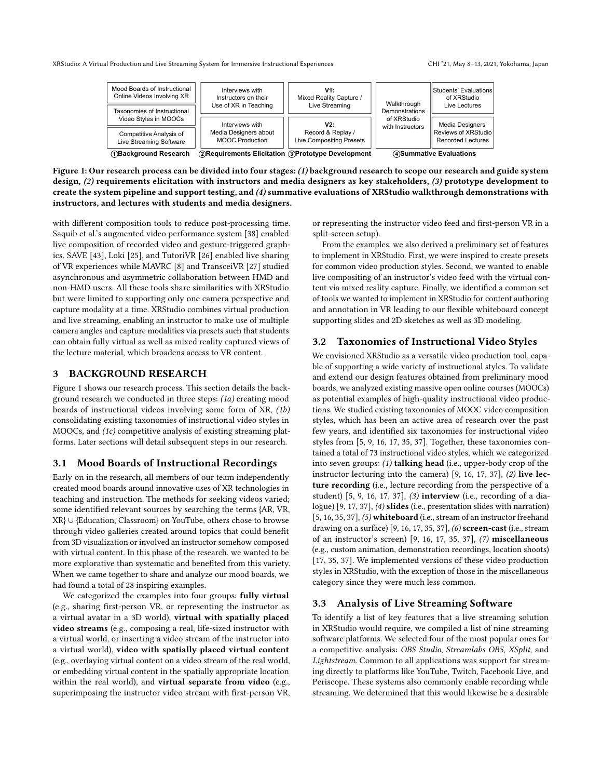<span id="page-2-0"></span>

Figure 1: Our research process can be divided into four stages: (1) background research to scope our research and guide system design, (2) requirements elicitation with instructors and media designers as key stakeholders, (3) prototype development to create the system pipeline and support testing, and (4) summative evaluations of XRStudio walkthrough demonstrations with instructors, and lectures with students and media designers.

with different composition tools to reduce post-processing time. Saquib et al.'s augmented video performance system [\[38\]](#page-11-9) enabled live composition of recorded video and gesture-triggered graphics. SAVE [\[43\]](#page-11-10), Loki [\[25\]](#page-10-0), and TutoriVR [\[26\]](#page-10-1) enabled live sharing of VR experiences while MAVRC [\[8\]](#page-10-23) and TransceiVR [\[27\]](#page-10-24) studied asynchronous and asymmetric collaboration between HMD and non-HMD users. All these tools share similarities with XRStudio but were limited to supporting only one camera perspective and capture modality at a time. XRStudio combines virtual production and live streaming, enabling an instructor to make use of multiple camera angles and capture modalities via presets such that students can obtain fully virtual as well as mixed reality captured views of the lecture material, which broadens access to VR content.

#### 3 BACKGROUND RESEARCH

Figure [1](#page-2-0) shows our research process. This section details the background research we conducted in three steps: (1a) creating mood boards of instructional videos involving some form of XR, (1b) consolidating existing taxonomies of instructional video styles in MOOCs, and (1c) competitive analysis of existing streaming platforms. Later sections will detail subsequent steps in our research.

#### 3.1 Mood Boards of Instructional Recordings

Early on in the research, all members of our team independently created mood boards around innovative uses of XR technologies in teaching and instruction. The methods for seeking videos varied; some identified relevant sources by searching the terms {AR, VR, XR} ∪ {Education, Classroom} on YouTube, others chose to browse through video galleries created around topics that could benefit from 3D visualization or involved an instructor somehow composed with virtual content. In this phase of the research, we wanted to be more explorative than systematic and benefited from this variety. When we came together to share and analyze our mood boards, we had found a total of 28 inspiring examples.

We categorized the examples into four groups: fully virtual (e.g., sharing first-person VR, or representing the instructor as a virtual avatar in a 3D world), virtual with spatially placed video streams (e.g., composing a real, life-sized instructor with a virtual world, or inserting a video stream of the instructor into a virtual world), video with spatially placed virtual content (e.g., overlaying virtual content on a video stream of the real world, or embedding virtual content in the spatially appropriate location within the real world), and virtual separate from video (e.g., superimposing the instructor video stream with first-person VR,

or representing the instructor video feed and first-person VR in a split-screen setup).

From the examples, we also derived a preliminary set of features to implement in XRStudio. First, we were inspired to create presets for common video production styles. Second, we wanted to enable live compositing of an instructor's video feed with the virtual content via mixed reality capture. Finally, we identified a common set of tools we wanted to implement in XRStudio for content authoring and annotation in VR leading to our flexible whiteboard concept supporting slides and 2D sketches as well as 3D modeling.

# <span id="page-2-1"></span>3.2 Taxonomies of Instructional Video Styles

We envisioned XRStudio as a versatile video production tool, capable of supporting a wide variety of instructional styles. To validate and extend our design features obtained from preliminary mood boards, we analyzed existing massive open online courses (MOOCs) as potential examples of high-quality instructional video productions. We studied existing taxonomies of MOOC video composition styles, which has been an active area of research over the past few years, and identified six taxonomies for instructional video styles from [\[5,](#page-10-25) [9,](#page-10-26) [16,](#page-10-27) [17,](#page-10-28) [35,](#page-11-11) [37\]](#page-11-12). Together, these taxonomies contained a total of 73 instructional video styles, which we categorized into seven groups: (1) talking head (i.e., upper-body crop of the instructor lecturing into the camera) [\[9,](#page-10-26) [16,](#page-10-27) [17,](#page-10-28) [37\]](#page-11-12), (2) live lecture recording (i.e., lecture recording from the perspective of a student) [\[5,](#page-10-25) [9,](#page-10-26) [16,](#page-10-27) [17,](#page-10-28) [37\]](#page-11-12), (3) interview (i.e., recording of a dialogue) [\[9,](#page-10-26) [17,](#page-10-28) [37\]](#page-11-12), (4) slides (i.e., presentation slides with narration) [\[5,](#page-10-25) [16,](#page-10-27) [35,](#page-11-11) [37\]](#page-11-12), (5) whiteboard (i.e., stream of an instructor freehand drawing on a surface) [\[9,](#page-10-26) [16,](#page-10-27) [17,](#page-10-28) [35,](#page-11-11) [37\]](#page-11-12), (6) screen-cast (i.e., stream of an instructor's screen) [\[9,](#page-10-26) [16,](#page-10-27) [17,](#page-10-28) [35,](#page-11-11) [37\]](#page-11-12), (7) miscellaneous (e.g., custom animation, demonstration recordings, location shoots) [\[17,](#page-10-28) [35,](#page-11-11) [37\]](#page-11-12). We implemented versions of these video production styles in XRStudio, with the exception of those in the miscellaneous category since they were much less common.

#### 3.3 Analysis of Live Streaming Software

To identify a list of key features that a live streaming solution in XRStudio would require, we compiled a list of nine streaming software platforms. We selected four of the most popular ones for a competitive analysis: OBS Studio, Streamlabs OBS, XSplit, and Lightstream. Common to all applications was support for streaming directly to platforms like YouTube, Twitch, Facebook Live, and Periscope. These systems also commonly enable recording while streaming. We determined that this would likewise be a desirable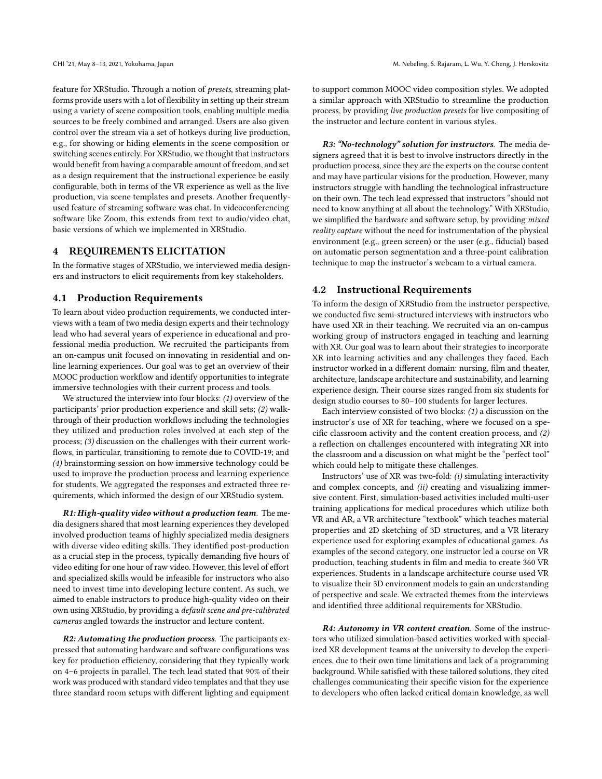feature for XRStudio. Through a notion of presets, streaming platforms provide users with a lot of flexibility in setting up their stream using a variety of scene composition tools, enabling multiple media sources to be freely combined and arranged. Users are also given control over the stream via a set of hotkeys during live production, e.g., for showing or hiding elements in the scene composition or switching scenes entirely. For XRStudio, we thought that instructors would benefit from having a comparable amount of freedom, and set as a design requirement that the instructional experience be easily configurable, both in terms of the VR experience as well as the live production, via scene templates and presets. Another frequentlyused feature of streaming software was chat. In videoconferencing software like Zoom, this extends from text to audio/video chat, basic versions of which we implemented in XRStudio.

# 4 REQUIREMENTS ELICITATION

In the formative stages of XRStudio, we interviewed media designers and instructors to elicit requirements from key stakeholders.

#### 4.1 Production Requirements

To learn about video production requirements, we conducted interviews with a team of two media design experts and their technology lead who had several years of experience in educational and professional media production. We recruited the participants from an on-campus unit focused on innovating in residential and online learning experiences. Our goal was to get an overview of their MOOC production workflow and identify opportunities to integrate immersive technologies with their current process and tools.

We structured the interview into four blocks: (1) overview of the participants' prior production experience and skill sets; (2) walkthrough of their production workflows including the technologies they utilized and production roles involved at each step of the process; (3) discussion on the challenges with their current workflows, in particular, transitioning to remote due to COVID-19; and (4) brainstorming session on how immersive technology could be used to improve the production process and learning experience for students. We aggregated the responses and extracted three requirements, which informed the design of our XRStudio system.

R1: High-quality video without a production team. The media designers shared that most learning experiences they developed involved production teams of highly specialized media designers with diverse video editing skills. They identified post-production as a crucial step in the process, typically demanding five hours of video editing for one hour of raw video. However, this level of effort and specialized skills would be infeasible for instructors who also need to invest time into developing lecture content. As such, we aimed to enable instructors to produce high-quality video on their own using XRStudio, by providing a default scene and pre-calibrated cameras angled towards the instructor and lecture content.

R2: Automating the production process. The participants expressed that automating hardware and software configurations was key for production efficiency, considering that they typically work on 4–6 projects in parallel. The tech lead stated that 90% of their work was produced with standard video templates and that they use three standard room setups with different lighting and equipment

to support common MOOC video composition styles. We adopted a similar approach with XRStudio to streamline the production process, by providing live production presets for live compositing of the instructor and lecture content in various styles.

R3: "No-technology" solution for instructors. The media designers agreed that it is best to involve instructors directly in the production process, since they are the experts on the course content and may have particular visions for the production. However, many instructors struggle with handling the technological infrastructure on their own. The tech lead expressed that instructors "should not need to know anything at all about the technology." With XRStudio, we simplified the hardware and software setup, by providing mixed reality capture without the need for instrumentation of the physical environment (e.g., green screen) or the user (e.g., fiducial) based on automatic person segmentation and a three-point calibration technique to map the instructor's webcam to a virtual camera.

# 4.2 Instructional Requirements

To inform the design of XRStudio from the instructor perspective, we conducted five semi-structured interviews with instructors who have used XR in their teaching. We recruited via an on-campus working group of instructors engaged in teaching and learning with XR. Our goal was to learn about their strategies to incorporate XR into learning activities and any challenges they faced. Each instructor worked in a different domain: nursing, film and theater, architecture, landscape architecture and sustainability, and learning experience design. Their course sizes ranged from six students for design studio courses to 80–100 students for larger lectures.

Each interview consisted of two blocks:  $(1)$  a discussion on the instructor's use of XR for teaching, where we focused on a specific classroom activity and the content creation process, and (2) a reflection on challenges encountered with integrating XR into the classroom and a discussion on what might be the "perfect tool" which could help to mitigate these challenges.

Instructors' use of XR was two-fold: (i) simulating interactivity and complex concepts, and (ii) creating and visualizing immersive content. First, simulation-based activities included multi-user training applications for medical procedures which utilize both VR and AR, a VR architecture "textbook" which teaches material properties and 2D sketching of 3D structures, and a VR literary experience used for exploring examples of educational games. As examples of the second category, one instructor led a course on VR production, teaching students in film and media to create 360 VR experiences. Students in a landscape architecture course used VR to visualize their 3D environment models to gain an understanding of perspective and scale. We extracted themes from the interviews and identified three additional requirements for XRStudio.

R4: Autonomy in VR content creation. Some of the instructors who utilized simulation-based activities worked with specialized XR development teams at the university to develop the experiences, due to their own time limitations and lack of a programming background. While satisfied with these tailored solutions, they cited challenges communicating their specific vision for the experience to developers who often lacked critical domain knowledge, as well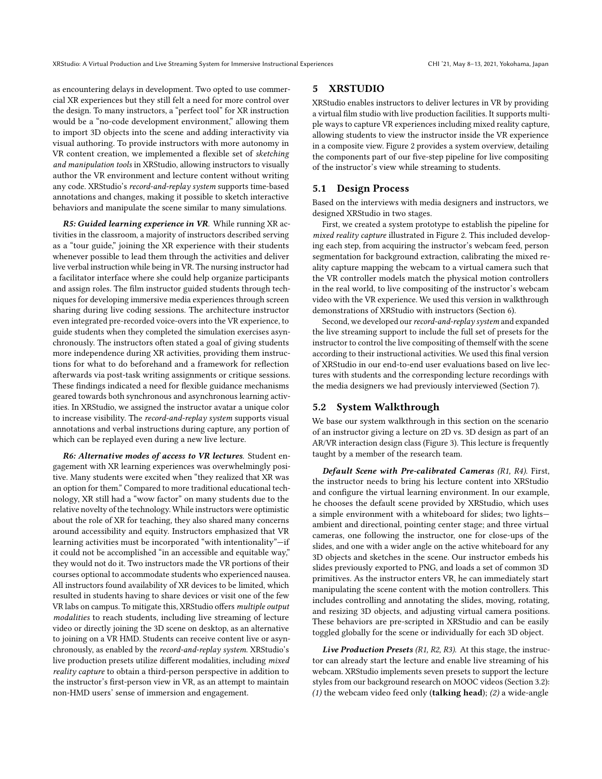as encountering delays in development. Two opted to use commercial XR experiences but they still felt a need for more control over the design. To many instructors, a "perfect tool" for XR instruction would be a "no-code development environment," allowing them to import 3D objects into the scene and adding interactivity via visual authoring. To provide instructors with more autonomy in VR content creation, we implemented a flexible set of sketching and manipulation tools in XRStudio, allowing instructors to visually author the VR environment and lecture content without writing any code. XRStudio's record-and-replay system supports time-based annotations and changes, making it possible to sketch interactive behaviors and manipulate the scene similar to many simulations.

R5: Guided learning experience in VR. While running XR activities in the classroom, a majority of instructors described serving as a "tour guide," joining the XR experience with their students whenever possible to lead them through the activities and deliver live verbal instruction while being in VR. The nursing instructor had a facilitator interface where she could help organize participants and assign roles. The film instructor guided students through techniques for developing immersive media experiences through screen sharing during live coding sessions. The architecture instructor even integrated pre-recorded voice-overs into the VR experience, to guide students when they completed the simulation exercises asynchronously. The instructors often stated a goal of giving students more independence during XR activities, providing them instructions for what to do beforehand and a framework for reflection afterwards via post-task writing assignments or critique sessions. These findings indicated a need for flexible guidance mechanisms geared towards both synchronous and asynchronous learning activities. In XRStudio, we assigned the instructor avatar a unique color to increase visibility. The record-and-replay system supports visual annotations and verbal instructions during capture, any portion of which can be replayed even during a new live lecture.

R6: Alternative modes of access to VR lectures. Student engagement with XR learning experiences was overwhelmingly positive. Many students were excited when "they realized that XR was an option for them." Compared to more traditional educational technology, XR still had a "wow factor" on many students due to the relative novelty of the technology. While instructors were optimistic about the role of XR for teaching, they also shared many concerns around accessibility and equity. Instructors emphasized that VR learning activities must be incorporated "with intentionality"—if it could not be accomplished "in an accessible and equitable way," they would not do it. Two instructors made the VR portions of their courses optional to accommodate students who experienced nausea. All instructors found availability of XR devices to be limited, which resulted in students having to share devices or visit one of the few VR labs on campus. To mitigate this, XRStudio offers multiple output modalities to reach students, including live streaming of lecture video or directly joining the 3D scene on desktop, as an alternative to joining on a VR HMD. Students can receive content live or asynchronously, as enabled by the record-and-replay system. XRStudio's live production presets utilize different modalities, including mixed reality capture to obtain a third-person perspective in addition to the instructor's first-person view in VR, as an attempt to maintain non-HMD users' sense of immersion and engagement.

# 5 XRSTUDIO

XRStudio enables instructors to deliver lectures in VR by providing a virtual film studio with live production facilities. It supports multiple ways to capture VR experiences including mixed reality capture, allowing students to view the instructor inside the VR experience in a composite view. Figure [2](#page-5-0) provides a system overview, detailing the components part of our five-step pipeline for live compositing of the instructor's view while streaming to students.

#### 5.1 Design Process

Based on the interviews with media designers and instructors, we designed XRStudio in two stages.

First, we created a system prototype to establish the pipeline for mixed reality capture illustrated in Figure [2.](#page-5-0) This included developing each step, from acquiring the instructor's webcam feed, person segmentation for background extraction, calibrating the mixed reality capture mapping the webcam to a virtual camera such that the VR controller models match the physical motion controllers in the real world, to live compositing of the instructor's webcam video with the VR experience. We used this version in walkthrough demonstrations of XRStudio with instructors (Section [6\)](#page-7-0).

Second, we developed our record-and-replay system and expanded the live streaming support to include the full set of presets for the instructor to control the live compositing of themself with the scene according to their instructional activities. We used this final version of XRStudio in our end-to-end user evaluations based on live lectures with students and the corresponding lecture recordings with the media designers we had previously interviewed (Section [7\)](#page-7-1).

# 5.2 System Walkthrough

We base our system walkthrough in this section on the scenario of an instructor giving a lecture on 2D vs. 3D design as part of an AR/VR interaction design class (Figure [3\)](#page-6-0). This lecture is frequently taught by a member of the research team.

Default Scene with Pre-calibrated Cameras (R1, R4). First, the instructor needs to bring his lecture content into XRStudio and configure the virtual learning environment. In our example, he chooses the default scene provided by XRStudio, which uses a simple environment with a whiteboard for slides; two lights ambient and directional, pointing center stage; and three virtual cameras, one following the instructor, one for close-ups of the slides, and one with a wider angle on the active whiteboard for any 3D objects and sketches in the scene. Our instructor embeds his slides previously exported to PNG, and loads a set of common 3D primitives. As the instructor enters VR, he can immediately start manipulating the scene content with the motion controllers. This includes controlling and annotating the slides, moving, rotating, and resizing 3D objects, and adjusting virtual camera positions. These behaviors are pre-scripted in XRStudio and can be easily toggled globally for the scene or individually for each 3D object.

Live Production Presets (R1, R2, R3). At this stage, the instructor can already start the lecture and enable live streaming of his webcam. XRStudio implements seven presets to support the lecture styles from our background research on MOOC videos (Section [3.2\)](#page-2-1): (1) the webcam video feed only (talking head); (2) a wide-angle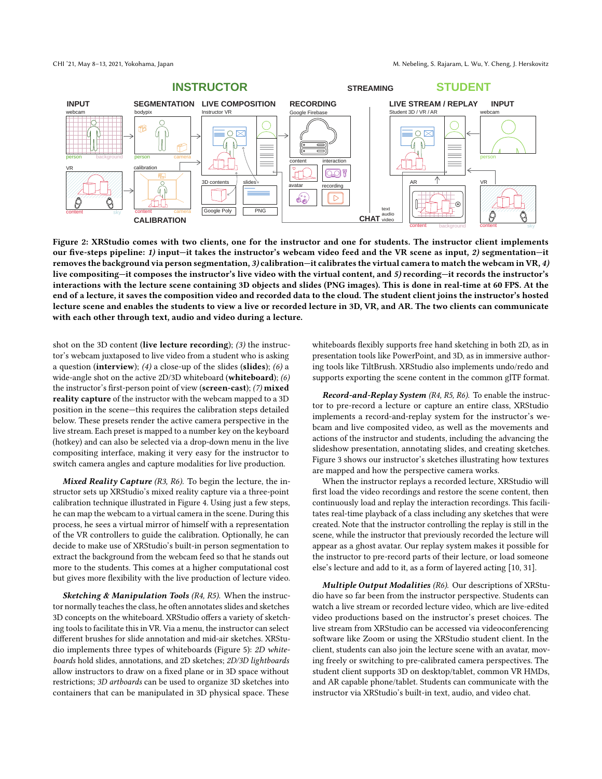<span id="page-5-0"></span>

Figure 2: XRStudio comes with two clients, one for the instructor and one for students. The instructor client implements our five-steps pipeline: 1) input—it takes the instructor's webcam video feed and the VR scene as input, 2) segmentation—it removes the background via person segmentation, 3) calibration—it calibrates the virtual camera to match the webcam in VR, 4) live compositing—it composes the instructor's live video with the virtual content, and 5) recording—it records the instructor's interactions with the lecture scene containing 3D objects and slides (PNG images). This is done in real-time at 60 FPS. At the end of a lecture, it saves the composition video and recorded data to the cloud. The student client joins the instructor's hosted lecture scene and enables the students to view a live or recorded lecture in 3D, VR, and AR. The two clients can communicate with each other through text, audio and video during a lecture.

shot on the 3D content (live lecture recording); (3) the instructor's webcam juxtaposed to live video from a student who is asking a question (interview); (4) a close-up of the slides (slides); (6) a wide-angle shot on the active 2D/3D whiteboard (whiteboard); (6) the instructor's first-person point of view (screen-cast); (7) mixed reality capture of the instructor with the webcam mapped to a 3D position in the scene—this requires the calibration steps detailed below. These presets render the active camera perspective in the live stream. Each preset is mapped to a number key on the keyboard (hotkey) and can also be selected via a drop-down menu in the live compositing interface, making it very easy for the instructor to switch camera angles and capture modalities for live production.

Mixed Reality Capture (R3, R6). To begin the lecture, the instructor sets up XRStudio's mixed reality capture via a three-point calibration technique illustrated in Figure [4.](#page-6-1) Using just a few steps, he can map the webcam to a virtual camera in the scene. During this process, he sees a virtual mirror of himself with a representation of the VR controllers to guide the calibration. Optionally, he can decide to make use of XRStudio's built-in person segmentation to extract the background from the webcam feed so that he stands out more to the students. This comes at a higher computational cost but gives more flexibility with the live production of lecture video.

Sketching & Manipulation Tools (R4, R5). When the instructor normally teaches the class, he often annotates slides and sketches 3D concepts on the whiteboard. XRStudio offers a variety of sketching tools to facilitate this in VR. Via a menu, the instructor can select different brushes for slide annotation and mid-air sketches. XRStudio implements three types of whiteboards (Figure [5\)](#page-6-2): 2D whiteboards hold slides, annotations, and 2D sketches; 2D/3D lightboards allow instructors to draw on a fixed plane or in 3D space without restrictions; 3D artboards can be used to organize 3D sketches into containers that can be manipulated in 3D physical space. These

whiteboards flexibly supports free hand sketching in both 2D, as in presentation tools like PowerPoint, and 3D, as in immersive authoring tools like TiltBrush. XRStudio also implements undo/redo and supports exporting the scene content in the common glTF format.

Record-and-Replay System (R4, R5, R6). To enable the instructor to pre-record a lecture or capture an entire class, XRStudio implements a record-and-replay system for the instructor's webcam and live composited video, as well as the movements and actions of the instructor and students, including the advancing the slideshow presentation, annotating slides, and creating sketches. Figure [3](#page-6-0) shows our instructor's sketches illustrating how textures are mapped and how the perspective camera works.

When the instructor replays a recorded lecture, XRStudio will first load the video recordings and restore the scene content, then continuously load and replay the interaction recordings. This facilitates real-time playback of a class including any sketches that were created. Note that the instructor controlling the replay is still in the scene, while the instructor that previously recorded the lecture will appear as a ghost avatar. Our replay system makes it possible for the instructor to pre-record parts of their lecture, or load someone else's lecture and add to it, as a form of layered acting [\[10,](#page-10-29) [31\]](#page-10-3).

Multiple Output Modalities (R6). Our descriptions of XRStudio have so far been from the instructor perspective. Students can watch a live stream or recorded lecture video, which are live-edited video productions based on the instructor's preset choices. The live stream from XRStudio can be accessed via videoconferencing software like Zoom or using the XRStudio student client. In the client, students can also join the lecture scene with an avatar, moving freely or switching to pre-calibrated camera perspectives. The student client supports 3D on desktop/tablet, common VR HMDs, and AR capable phone/tablet. Students can communicate with the instructor via XRStudio's built-in text, audio, and video chat.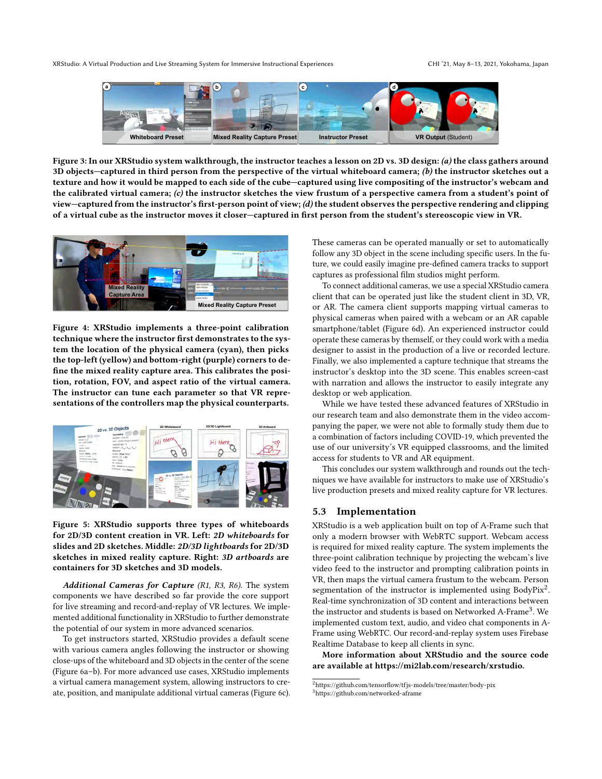<span id="page-6-0"></span>XRStudio: A Virtual Production and Live Streaming System for Immersive Instructional Experiences CHI '21, May 8–13, 2021, Yokohama, Japan



Figure 3: In our XRStudio system walkthrough, the instructor teaches a lesson on 2D vs. 3D design: (a) the class gathers around 3D objects—captured in third person from the perspective of the virtual whiteboard camera;  $(b)$  the instructor sketches out a texture and how it would be mapped to each side of the cube—captured using live compositing of the instructor's webcam and the calibrated virtual camera;  $(c)$  the instructor sketches the view frustum of a perspective camera from a student's point of view—captured from the instructor's first-person point of view; (d) the student observes the perspective rendering and clipping of a virtual cube as the instructor moves it closer—captured in first person from the student's stereoscopic view in VR.

<span id="page-6-1"></span>

Figure 4: XRStudio implements a three-point calibration technique where the instructor first demonstrates to the system the location of the physical camera (cyan), then picks the top-left (yellow) and bottom-right (purple) corners to define the mixed reality capture area. This calibrates the position, rotation, FOV, and aspect ratio of the virtual camera. The instructor can tune each parameter so that VR representations of the controllers map the physical counterparts.

<span id="page-6-2"></span>

Figure 5: XRStudio supports three types of whiteboards for 2D/3D content creation in VR. Left: 2D whiteboards for slides and 2D sketches. Middle: 2D/3D lightboards for 2D/3D sketches in mixed reality capture. Right: 3D artboards are containers for 3D sketches and 3D models.

Additional Cameras for Capture (R1, R3, R6). The system components we have described so far provide the core support for live streaming and record-and-replay of VR lectures. We implemented additional functionality in XRStudio to further demonstrate the potential of our system in more advanced scenarios.

To get instructors started, XRStudio provides a default scene with various camera angles following the instructor or showing close-ups of the whiteboard and 3D objects in the center of the scene (Figure [6a](#page-7-2)–b). For more advanced use cases, XRStudio implements a virtual camera management system, allowing instructors to create, position, and manipulate additional virtual cameras (Figure [6c](#page-7-2)). These cameras can be operated manually or set to automatically follow any 3D object in the scene including specific users. In the future, we could easily imagine pre-defined camera tracks to support captures as professional film studios might perform.

To connect additional cameras, we use a special XRStudio camera client that can be operated just like the student client in 3D, VR, or AR. The camera client supports mapping virtual cameras to physical cameras when paired with a webcam or an AR capable smartphone/tablet (Figure [6d](#page-7-2)). An experienced instructor could operate these cameras by themself, or they could work with a media designer to assist in the production of a live or recorded lecture. Finally, we also implemented a capture technique that streams the instructor's desktop into the 3D scene. This enables screen-cast with narration and allows the instructor to easily integrate any desktop or web application.

While we have tested these advanced features of XRStudio in our research team and also demonstrate them in the video accompanying the paper, we were not able to formally study them due to a combination of factors including COVID-19, which prevented the use of our university's VR equipped classrooms, and the limited access for students to VR and AR equipment.

This concludes our system walkthrough and rounds out the techniques we have available for instructors to make use of XRStudio's live production presets and mixed reality capture for VR lectures.

# 5.3 Implementation

XRStudio is a web application built on top of A-Frame such that only a modern browser with WebRTC support. Webcam access is required for mixed reality capture. The system implements the three-point calibration technique by projecting the webcam's live video feed to the instructor and prompting calibration points in VR, then maps the virtual camera frustum to the webcam. Person segmentation of the instructor is implemented using BodyPix<sup>[2](#page-6-3)</sup>. Real-time synchronization of 3D content and interactions between the instructor and students is based on Networked A-Frame<sup>[3](#page-6-4)</sup>. We implemented custom text, audio, and video chat components in A-Frame using WebRTC. Our record-and-replay system uses Firebase Realtime Database to keep all clients in sync.

More information about XRStudio and the source code are available at [https://mi2lab.com/research/xrstudio.](https://mi2lab.com/research/xrstudio)

<span id="page-6-3"></span><sup>2</sup><https://github.com/tensorflow/tfjs-models/tree/master/body-pix>

<span id="page-6-4"></span><sup>3</sup><https://github.com/networked-aframe>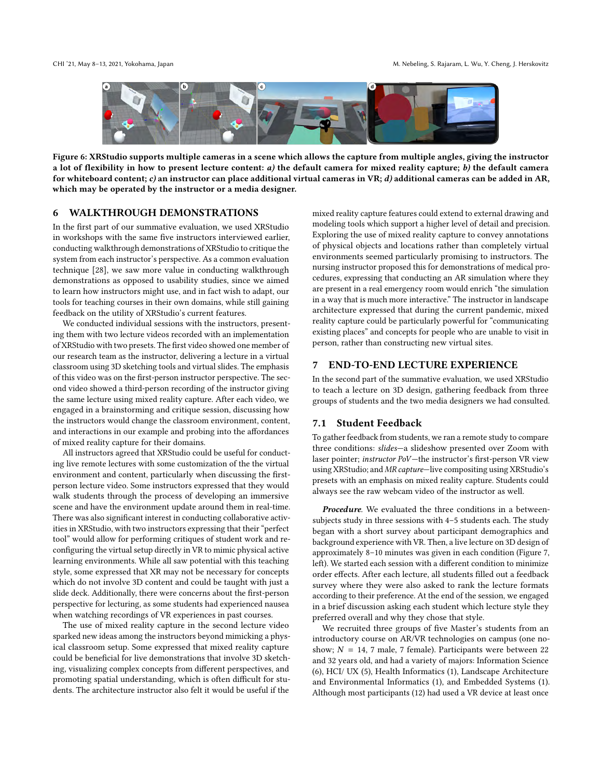<span id="page-7-2"></span>

Figure 6: XRStudio supports multiple cameras in a scene which allows the capture from multiple angles, giving the instructor a lot of flexibility in how to present lecture content:  $a$ ) the default camera for mixed reality capture;  $b$ ) the default camera for whiteboard content; c) an instructor can place additional virtual cameras in VR; d) additional cameras can be added in AR, which may be operated by the instructor or a media designer.

#### <span id="page-7-0"></span>6 WALKTHROUGH DEMONSTRATIONS

In the first part of our summative evaluation, we used XRStudio in workshops with the same five instructors interviewed earlier, conducting walkthrough demonstrations of XRStudio to critique the system from each instructor's perspective. As a common evaluation technique [\[28\]](#page-10-30), we saw more value in conducting walkthrough demonstrations as opposed to usability studies, since we aimed to learn how instructors might use, and in fact wish to adapt, our tools for teaching courses in their own domains, while still gaining feedback on the utility of XRStudio's current features.

We conducted individual sessions with the instructors, presenting them with two lecture videos recorded with an implementation of XRStudio with two presets. The first video showed one member of our research team as the instructor, delivering a lecture in a virtual classroom using 3D sketching tools and virtual slides. The emphasis of this video was on the first-person instructor perspective. The second video showed a third-person recording of the instructor giving the same lecture using mixed reality capture. After each video, we engaged in a brainstorming and critique session, discussing how the instructors would change the classroom environment, content, and interactions in our example and probing into the affordances of mixed reality capture for their domains.

All instructors agreed that XRStudio could be useful for conducting live remote lectures with some customization of the the virtual environment and content, particularly when discussing the firstperson lecture video. Some instructors expressed that they would walk students through the process of developing an immersive scene and have the environment update around them in real-time. There was also significant interest in conducting collaborative activities in XRStudio, with two instructors expressing that their "perfect tool" would allow for performing critiques of student work and reconfiguring the virtual setup directly in VR to mimic physical active learning environments. While all saw potential with this teaching style, some expressed that XR may not be necessary for concepts which do not involve 3D content and could be taught with just a slide deck. Additionally, there were concerns about the first-person perspective for lecturing, as some students had experienced nausea when watching recordings of VR experiences in past courses.

The use of mixed reality capture in the second lecture video sparked new ideas among the instructors beyond mimicking a physical classroom setup. Some expressed that mixed reality capture could be beneficial for live demonstrations that involve 3D sketching, visualizing complex concepts from different perspectives, and promoting spatial understanding, which is often difficult for students. The architecture instructor also felt it would be useful if the

mixed reality capture features could extend to external drawing and modeling tools which support a higher level of detail and precision. Exploring the use of mixed reality capture to convey annotations of physical objects and locations rather than completely virtual environments seemed particularly promising to instructors. The nursing instructor proposed this for demonstrations of medical procedures, expressing that conducting an AR simulation where they are present in a real emergency room would enrich "the simulation in a way that is much more interactive." The instructor in landscape architecture expressed that during the current pandemic, mixed reality capture could be particularly powerful for "communicating existing places" and concepts for people who are unable to visit in person, rather than constructing new virtual sites.

#### <span id="page-7-1"></span>7 END-TO-END LECTURE EXPERIENCE

In the second part of the summative evaluation, we used XRStudio to teach a lecture on 3D design, gathering feedback from three groups of students and the two media designers we had consulted.

#### 7.1 Student Feedback

To gather feedback from students, we ran a remote study to compare three conditions: slides—a slideshow presented over Zoom with laser pointer; instructor PoV—the instructor's first-person VR view using XRStudio; and MR capture—live compositing using XRStudio's presets with an emphasis on mixed reality capture. Students could always see the raw webcam video of the instructor as well.

Procedure. We evaluated the three conditions in a betweensubjects study in three sessions with 4–5 students each. The study began with a short survey about participant demographics and background experience with VR. Then, a live lecture on 3D design of approximately 8–10 minutes was given in each condition (Figure [7,](#page-9-0) left). We started each session with a different condition to minimize order effects. After each lecture, all students filled out a feedback survey where they were also asked to rank the lecture formats according to their preference. At the end of the session, we engaged in a brief discussion asking each student which lecture style they preferred overall and why they chose that style.

We recruited three groups of five Master's students from an introductory course on AR/VR technologies on campus (one noshow;  $N = 14$ , 7 male, 7 female). Participants were between 22 and 32 years old, and had a variety of majors: Information Science (6), HCI/ UX (5), Health Informatics (1), Landscape Architecture and Environmental Informatics (1), and Embedded Systems (1). Although most participants (12) had used a VR device at least once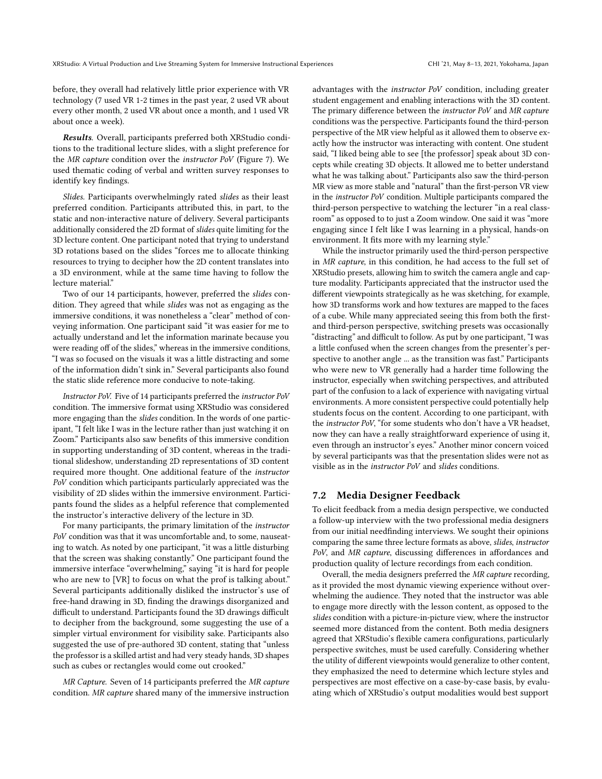before, they overall had relatively little prior experience with VR technology (7 used VR 1-2 times in the past year, 2 used VR about every other month, 2 used VR about once a month, and 1 used VR about once a week).

Results. Overall, participants preferred both XRStudio conditions to the traditional lecture slides, with a slight preference for the MR capture condition over the instructor PoV (Figure [7\)](#page-9-0). We used thematic coding of verbal and written survey responses to identify key findings.

Slides. Participants overwhelmingly rated slides as their least preferred condition. Participants attributed this, in part, to the static and non-interactive nature of delivery. Several participants additionally considered the 2D format of slides quite limiting for the 3D lecture content. One participant noted that trying to understand 3D rotations based on the slides "forces me to allocate thinking resources to trying to decipher how the 2D content translates into a 3D environment, while at the same time having to follow the lecture material."

Two of our 14 participants, however, preferred the slides condition. They agreed that while slides was not as engaging as the immersive conditions, it was nonetheless a "clear" method of conveying information. One participant said "it was easier for me to actually understand and let the information marinate because you were reading off of the slides," whereas in the immersive conditions, "I was so focused on the visuals it was a little distracting and some of the information didn't sink in." Several participants also found the static slide reference more conducive to note-taking.

Instructor PoV. Five of 14 participants preferred the instructor PoV condition. The immersive format using XRStudio was considered more engaging than the slides condition. In the words of one participant, "I felt like I was in the lecture rather than just watching it on Zoom." Participants also saw benefits of this immersive condition in supporting understanding of 3D content, whereas in the traditional slideshow, understanding 2D representations of 3D content required more thought. One additional feature of the instructor PoV condition which participants particularly appreciated was the visibility of 2D slides within the immersive environment. Participants found the slides as a helpful reference that complemented the instructor's interactive delivery of the lecture in 3D.

For many participants, the primary limitation of the instructor PoV condition was that it was uncomfortable and, to some, nauseating to watch. As noted by one participant, "it was a little disturbing that the screen was shaking constantly." One participant found the immersive interface "overwhelming," saying "it is hard for people who are new to [VR] to focus on what the prof is talking about." Several participants additionally disliked the instructor's use of free-hand drawing in 3D, finding the drawings disorganized and difficult to understand. Participants found the 3D drawings difficult to decipher from the background, some suggesting the use of a simpler virtual environment for visibility sake. Participants also suggested the use of pre-authored 3D content, stating that "unless the professor is a skilled artist and had very steady hands, 3D shapes such as cubes or rectangles would come out crooked."

MR Capture. Seven of 14 participants preferred the MR capture condition. MR capture shared many of the immersive instruction advantages with the instructor PoV condition, including greater student engagement and enabling interactions with the 3D content. The primary difference between the instructor PoV and MR capture conditions was the perspective. Participants found the third-person perspective of the MR view helpful as it allowed them to observe exactly how the instructor was interacting with content. One student said, "I liked being able to see [the professor] speak about 3D concepts while creating 3D objects. It allowed me to better understand what he was talking about." Participants also saw the third-person MR view as more stable and "natural" than the first-person VR view in the instructor PoV condition. Multiple participants compared the third-person perspective to watching the lecturer "in a real classroom" as opposed to to just a Zoom window. One said it was "more engaging since I felt like I was learning in a physical, hands-on environment. It fits more with my learning style."

While the instructor primarily used the third-person perspective in MR capture, in this condition, he had access to the full set of XRStudio presets, allowing him to switch the camera angle and capture modality. Participants appreciated that the instructor used the different viewpoints strategically as he was sketching, for example, how 3D transforms work and how textures are mapped to the faces of a cube. While many appreciated seeing this from both the firstand third-person perspective, switching presets was occasionally "distracting" and difficult to follow. As put by one participant, "I was a little confused when the screen changes from the presenter's perspective to another angle ... as the transition was fast." Participants who were new to VR generally had a harder time following the instructor, especially when switching perspectives, and attributed part of the confusion to a lack of experience with navigating virtual environments. A more consistent perspective could potentially help students focus on the content. According to one participant, with the instructor PoV, "for some students who don't have a VR headset, now they can have a really straightforward experience of using it, even through an instructor's eyes." Another minor concern voiced by several participants was that the presentation slides were not as visible as in the instructor PoV and slides conditions.

# 7.2 Media Designer Feedback

To elicit feedback from a media design perspective, we conducted a follow-up interview with the two professional media designers from our initial needfinding interviews. We sought their opinions comparing the same three lecture formats as above, slides, instructor PoV, and MR capture, discussing differences in affordances and production quality of lecture recordings from each condition.

Overall, the media designers preferred the MR capture recording, as it provided the most dynamic viewing experience without overwhelming the audience. They noted that the instructor was able to engage more directly with the lesson content, as opposed to the slides condition with a picture-in-picture view, where the instructor seemed more distanced from the content. Both media designers agreed that XRStudio's flexible camera configurations, particularly perspective switches, must be used carefully. Considering whether the utility of different viewpoints would generalize to other content, they emphasized the need to determine which lecture styles and perspectives are most effective on a case-by-case basis, by evaluating which of XRStudio's output modalities would best support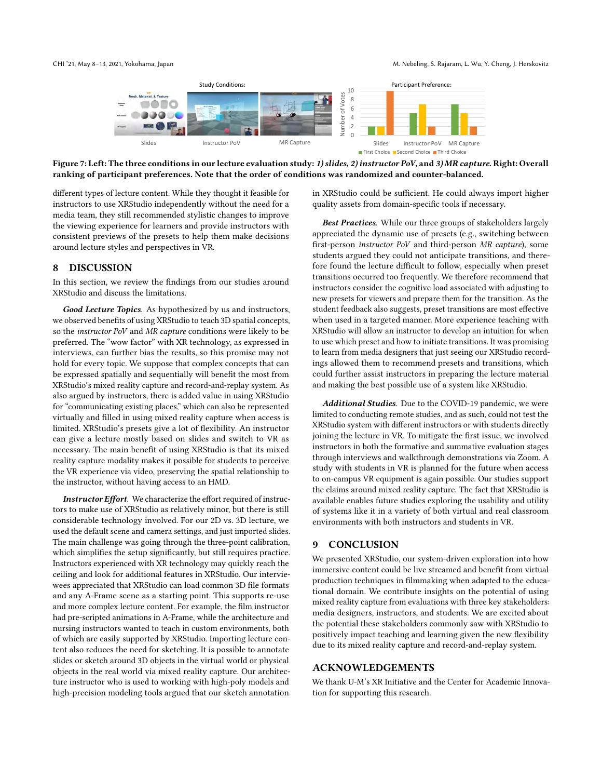<span id="page-9-0"></span>

Figure 7: Left: The three conditions in our lecture evaluation study: 1) slides, 2) instructor PoV, and 3) MR capture. Right: Overall ranking of participant preferences. Note that the order of conditions was randomized and counter-balanced.

different types of lecture content. While they thought it feasible for instructors to use XRStudio independently without the need for a media team, they still recommended stylistic changes to improve the viewing experience for learners and provide instructors with consistent previews of the presets to help them make decisions around lecture styles and perspectives in VR.

# 8 DISCUSSION

In this section, we review the findings from our studies around XRStudio and discuss the limitations.

Good Lecture Topics. As hypothesized by us and instructors, we observed benefits of using XRStudio to teach 3D spatial concepts, so the instructor PoV and MR capture conditions were likely to be preferred. The "wow factor" with XR technology, as expressed in interviews, can further bias the results, so this promise may not hold for every topic. We suppose that complex concepts that can be expressed spatially and sequentially will benefit the most from XRStudio's mixed reality capture and record-and-replay system. As also argued by instructors, there is added value in using XRStudio for "communicating existing places," which can also be represented virtually and filled in using mixed reality capture when access is limited. XRStudio's presets give a lot of flexibility. An instructor can give a lecture mostly based on slides and switch to VR as necessary. The main benefit of using XRStudio is that its mixed reality capture modality makes it possible for students to perceive the VR experience via video, preserving the spatial relationship to the instructor, without having access to an HMD.

Instructor Effort. We characterize the effort required of instructors to make use of XRStudio as relatively minor, but there is still considerable technology involved. For our 2D vs. 3D lecture, we used the default scene and camera settings, and just imported slides. The main challenge was going through the three-point calibration, which simplifies the setup significantly, but still requires practice. Instructors experienced with XR technology may quickly reach the ceiling and look for additional features in XRStudio. Our interviewees appreciated that XRStudio can load common 3D file formats and any A-Frame scene as a starting point. This supports re-use and more complex lecture content. For example, the film instructor had pre-scripted animations in A-Frame, while the architecture and nursing instructors wanted to teach in custom environments, both of which are easily supported by XRStudio. Importing lecture content also reduces the need for sketching. It is possible to annotate slides or sketch around 3D objects in the virtual world or physical objects in the real world via mixed reality capture. Our architecture instructor who is used to working with high-poly models and high-precision modeling tools argued that our sketch annotation

in XRStudio could be sufficient. He could always import higher quality assets from domain-specific tools if necessary.

Best Practices. While our three groups of stakeholders largely appreciated the dynamic use of presets (e.g., switching between first-person instructor PoV and third-person MR capture), some students argued they could not anticipate transitions, and therefore found the lecture difficult to follow, especially when preset transitions occurred too frequently. We therefore recommend that instructors consider the cognitive load associated with adjusting to new presets for viewers and prepare them for the transition. As the student feedback also suggests, preset transitions are most effective when used in a targeted manner. More experience teaching with XRStudio will allow an instructor to develop an intuition for when to use which preset and how to initiate transitions. It was promising to learn from media designers that just seeing our XRStudio recordings allowed them to recommend presets and transitions, which could further assist instructors in preparing the lecture material and making the best possible use of a system like XRStudio.

Additional Studies. Due to the COVID-19 pandemic, we were limited to conducting remote studies, and as such, could not test the XRStudio system with different instructors or with students directly joining the lecture in VR. To mitigate the first issue, we involved instructors in both the formative and summative evaluation stages through interviews and walkthrough demonstrations via Zoom. A study with students in VR is planned for the future when access to on-campus VR equipment is again possible. Our studies support the claims around mixed reality capture. The fact that XRStudio is available enables future studies exploring the usability and utility of systems like it in a variety of both virtual and real classroom environments with both instructors and students in VR.

# 9 CONCLUSION

We presented XRStudio, our system-driven exploration into how immersive content could be live streamed and benefit from virtual production techniques in filmmaking when adapted to the educational domain. We contribute insights on the potential of using mixed reality capture from evaluations with three key stakeholders: media designers, instructors, and students. We are excited about the potential these stakeholders commonly saw with XRStudio to positively impact teaching and learning given the new flexibility due to its mixed reality capture and record-and-replay system.

#### ACKNOWLEDGEMENTS

We thank U-M's XR Initiative and the Center for Academic Innovation for supporting this research.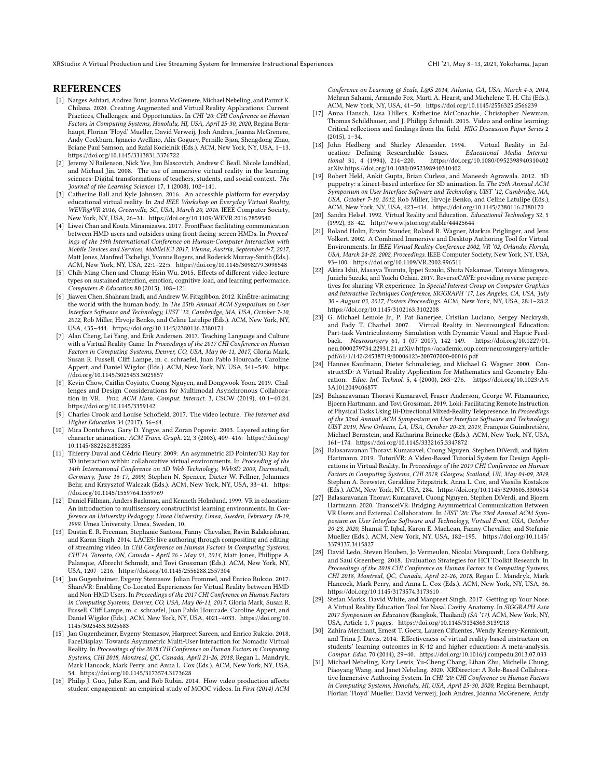XRStudio: A Virtual Production and Live Streaming System for Immersive Instructional Experiences CHI '21, May 8–13, 2021, Yokohama, Japan

## REFERENCES

- <span id="page-10-2"></span>[1] Narges Ashtari, Andrea Bunt, Joanna McGrenere, Michael Nebeling, and Parmit K. Chilana. 2020. Creating Augmented and Virtual Reality Applications: Current Practices, Challenges, and Opportunities. In CHI '20: CHI Conference on Human Factors in Computing Systems, Honolulu, HI, USA, April 25-30, 2020, Regina Bernhaupt, Florian 'Floyd' Mueller, David Verweij, Josh Andres, Joanna McGrenere, Andy Cockburn, Ignacio Avellino, Alix Goguey, Pernille Bjøn, Shengdong Zhao, Briane Paul Samson, and Rafal Kocielnik (Eds.). ACM, New York, NY, USA, 1–13. <https://doi.org/10.1145/3313831.3376722>
- <span id="page-10-6"></span>[2] Jeremy N Bailenson, Nick Yee, Jim Blascovich, Andrew C Beall, Nicole Lundblad, and Michael Jin. 2008. The use of immersive virtual reality in the learning sciences: Digital transformations of teachers, students, and social context. The Journal of the Learning Sciences 17, 1 (2008), 102–141.
- <span id="page-10-7"></span>[3] Catherine Ball and Kyle Johnsen. 2016. An accessible platform for everyday educational virtual reality. In 2nd IEEE Workshop on Everyday Virtual Reality, WEVR@VR 2016, Greenville, SC, USA, March 20, 2016. IEEE Computer Society, New York, NY, USA, 26–31.<https://doi.org/10.1109/WEVR.2016.7859540>
- <span id="page-10-19"></span>[4] Liwei Chan and Kouta Minamizawa. 2017. FrontFace: facilitating communication between HMD users and outsiders using front-facing-screen HMDs. In Proceedings of the 19th International Conference on Human-Computer Interaction with Mobile Devices and Services, MobileHCI 2017, Vienna, Austria, September 4-7, 2017, Matt Jones, Manfred Tscheligi, Yvonne Rogers, and Roderick Murray-Smith (Eds.). ACM, New York, NY, USA, 22:1–22:5.<https://doi.org/10.1145/3098279.3098548>
- <span id="page-10-25"></span>[5] Chih-Ming Chen and Chung-Hsin Wu. 2015. Effects of different video lecture types on sustained attention, emotion, cognitive load, and learning performance. Computers & Education 80 (2015), 108–121.
- <span id="page-10-20"></span>[6] Jiawen Chen, Shahram Izadi, and Andrew W. Fitzgibbon. 2012. KinÊtre: animating the world with the human body. In The 25th Annual ACM Symposium on User Interface Software and Technology, UIST '12, Cambridge, MA, USA, October 7-10, 2012, Rob Miller, Hrvoje Benko, and Celine Latulipe (Eds.). ACM, New York, NY, USA, 435–444.<https://doi.org/10.1145/2380116.2380171>
- <span id="page-10-12"></span>[7] Alan Cheng, Lei Yang, and Erik Andersen. 2017. Teaching Language and Culture with a Virtual Reality Game. In Proceedings of the 2017 CHI Conference on Human Factors in Computing Systems, Denver, CO, USA, May 06-11, 2017, Gloria Mark, Susan R. Fussell, Cliff Lampe, m. c. schraefel, Juan Pablo Hourcade, Caroline Appert, and Daniel Wigdor (Eds.). ACM, New York, NY, USA, 541–549. [https:](https://doi.org/10.1145/3025453.3025857) [//doi.org/10.1145/3025453.3025857](https://doi.org/10.1145/3025453.3025857)
- <span id="page-10-23"></span>[8] Kevin Chow, Caitlin Coyiuto, Cuong Nguyen, and Dongwook Yoon. 2019. Challenges and Design Considerations for Multimodal Asynchronous Collaboration in VR. Proc. ACM Hum. Comput. Interact. 3, CSCW (2019), 40:1–40:24. <https://doi.org/10.1145/3359142>
- <span id="page-10-26"></span>[9] Charles Crook and Louise Schofield. 2017. The video lecture. The Internet and Higher Education 34 (2017), 56–64.
- <span id="page-10-29"></span>[10] Mira Dontcheva, Gary D. Yngve, and Zoran Popovic. 2003. Layered acting for character animation. ACM Trans. Graph. 22, 3 (2003), 409–416. [https://doi.org/](https://doi.org/10.1145/882262.882285) [10.1145/882262.882285](https://doi.org/10.1145/882262.882285)
- <span id="page-10-16"></span>[11] Thierry Duval and Cédric Fleury. 2009. An asymmetric 2D Pointer/3D Ray for 3D interaction within collaborative virtual environments. In Proceeding of the 14th International Conference on 3D Web Technology, Web3D 2009, Darmstadt, Germany, June 16-17, 2009, Stephen N. Spencer, Dieter W. Fellner, Johannes Behr, and Krzysztof Walczak (Eds.). ACM, New York, NY, USA, 33–41. [https:](https://doi.org/10.1145/1559764.1559769) [//doi.org/10.1145/1559764.1559769](https://doi.org/10.1145/1559764.1559769)
- <span id="page-10-8"></span>[12] Daniel Fällman, Anders Backman, and Kenneth Holmlund. 1999. VR in education: An introduction to multisensory constructivist learning environments. In Conference on University Pedagogy, Umea University, Umea, Sweden, February 18-19, 1999. Umea University, Umea, Sweden, 10.
- <span id="page-10-22"></span>[13] Dustin E. R. Freeman, Stephanie Santosa, Fanny Chevalier, Ravin Balakrishnan, and Karan Singh. 2014. LACES: live authoring through compositing and editing of streaming video. In CHI Conference on Human Factors in Computing Systems, CHI'14, Toronto, ON, Canada - April 26 - May 01, 2014, Matt Jones, Philippe A. Palanque, Albrecht Schmidt, and Tovi Grossman (Eds.). ACM, New York, NY, USA, 1207–1216.<https://doi.org/10.1145/2556288.2557304>
- <span id="page-10-4"></span>[14] Jan Gugenheimer, Evgeny Stemasov, Julian Frommel, and Enrico Rukzio. 2017. ShareVR: Enabling Co-Located Experiences for Virtual Reality between HMD and Non-HMD Users. In Proceedings of the 2017 CHI Conference on Human Factors in Computing Systems, Denver, CO, USA, May 06-11, 2017, Gloria Mark, Susan R. Fussell, Cliff Lampe, m. c. schraefel, Juan Pablo Hourcade, Caroline Appert, and Daniel Wigdor (Eds.). ACM, New York, NY, USA, 4021–4033. [https://doi.org/10.](https://doi.org/10.1145/3025453.3025683) [1145/3025453.3025683](https://doi.org/10.1145/3025453.3025683)
- <span id="page-10-15"></span>[15] Jan Gugenheimer, Evgeny Stemasov, Harpreet Sareen, and Enrico Rukzio. 2018. FaceDisplay: Towards Asymmetric Multi-User Interaction for Nomadic Virtual Reality. In Proceedings of the 2018 CHI Conference on Human Factors in Computing Systems, CHI 2018, Montreal, QC, Canada, April 21-26, 2018, Regan L. Mandryk, Mark Hancock, Mark Perry, and Anna L. Cox (Eds.). ACM, New York, NY, USA, 54.<https://doi.org/10.1145/3173574.3173628>
- <span id="page-10-27"></span>[16] Philip J. Guo, Juho Kim, and Rob Rubin. 2014. How video production affects student engagement: an empirical study of MOOC videos. In First (2014) ACM

Conference on Learning @ Scale, L@S 2014, Atlanta, GA, USA, March 4-5, 2014, Mehran Sahami, Armando Fox, Marti A. Hearst, and Michelene T. H. Chi (Eds.). ACM, New York, NY, USA, 41–50.<https://doi.org/10.1145/2556325.2566239>

- <span id="page-10-28"></span>[17] Anna Hansch, Lisa Hillers, Katherine McConachie, Christopher Newman, Thomas Schildhauer, and J. Philipp Schmidt. 2015. Video and online learning: Critical reflections and findings from the field. HIIG Discussion Paper Series 2 (2015), 1–34.
- <span id="page-10-9"></span>[18] John Hedberg and Shirley Alexander. 1994. Virtual Reality in Education: Defining Researchable Issues.<br>tional 31, 4 (1994), 214-220. https:// https://doi.org/10.1080/0952398940310402 arXiv[:https://doi.org/10.1080/0952398940310402](https://arxiv.org/abs/https://doi.org/10.1080/0952398940310402)
- <span id="page-10-21"></span>[19] Robert Held, Ankit Gupta, Brian Curless, and Maneesh Agrawala. 2012. 3D puppetry: a kinect-based interface for 3D animation. In The 25th Annual ACM Symposium on User Interface Software and Technology, UIST '12, Cambridge, MA, USA, October 7-10, 2012, Rob Miller, Hrvoje Benko, and Celine Latulipe (Eds.). ACM, New York, NY, USA, 423–434.<https://doi.org/10.1145/2380116.2380170>
- <span id="page-10-10"></span>[20] Sandra Helsel. 1992. Virtual Reality and Education. Educational Technology 32, 5 (1992), 38–42.<http://www.jstor.org/stable/44425644>
- <span id="page-10-17"></span>[21] Roland Holm, Erwin Stauder, Roland R. Wagner, Markus Priglinger, and Jens Volkert. 2002. A Combined Immersive and Desktop Authoring Tool for Virtual Environments. In IEEE Virtual Reality Conference 2002, VR '02, Orlando, Florida, USA, March 24-28, 2002, Proceedings. IEEE Computer Society, New York, NY, USA, 93–100.<https://doi.org/10.1109/VR.2002.996511>
- <span id="page-10-18"></span>[22] Akira Ishii, Masaya Tsuruta, Ippei Suzuki, Shuta Nakamae, Tatsuya Minagawa, Junichi Suzuki, and Yoichi Ochiai. 2017. ReverseCAVE: providing reverse perspectives for sharing VR experience. In Special Interest Group on Computer Graphics and Interactive Techniques Conference, SIGGRAPH '17, Los Angeles, CA, USA, July 30 - August 03, 2017, Posters Proceedings. ACM, New York, NY, USA, 28:1–28:2. <https://doi.org/10.1145/3102163.3102208>
- <span id="page-10-13"></span>[23] G. Michael Lemole Jr., P. Pat Banerjee, Cristian Luciano, Sergey Neckrysh, and Fady T. Charbel. 2007. Virtual Reality in Neurosurgical Education: Part-task Ventriculostomy Simulation with Dynamic Visual and Haptic Feedback. Neurosurgery 61, 1 (07 2007), 142–149. [https://doi.org/10.1227/01.](https://doi.org/10.1227/01.neu.0000279734.22931.21) [neu.0000279734.22931.21](https://doi.org/10.1227/01.neu.0000279734.22931.21) arXiv[:https://academic.oup.com/neurosurgery/article](https://arxiv.org/abs/https://academic.oup.com/neurosurgery/article-pdf/61/1/142/24538719/00006123-200707000-00016.pdf)[pdf/61/1/142/24538719/00006123-200707000-00016.pdf](https://arxiv.org/abs/https://academic.oup.com/neurosurgery/article-pdf/61/1/142/24538719/00006123-200707000-00016.pdf)
- <span id="page-10-14"></span>[24] Hannes Kaufmann, Dieter Schmalstieg, and Michael G. Wagner. 2000. Construct3D: A Virtual Reality Application for Mathematics and Geometry Education. Educ. Inf. Technol. 5, 4 (2000), 263–276. [https://doi.org/10.1023/A%](https://doi.org/10.1023/A%3A1012049406877) [3A1012049406877](https://doi.org/10.1023/A%3A1012049406877)
- <span id="page-10-0"></span>[25] Balasaravanan Thoravi Kumaravel, Fraser Anderson, George W. Fitzmaurice, Bjoern Hartmann, and Tovi Grossman. 2019. Loki: Facilitating Remote Instruction of Physical Tasks Using Bi-Directional Mixed-Reality Telepresence. In Proceedings of the 32nd Annual ACM Symposium on User Interface Software and Technology, UIST 2019, New Orleans, LA, USA, October 20-23, 2019, François Guimbretière, Michael Bernstein, and Katharina Reinecke (Eds.). ACM, New York, NY, USA, 161–174.<https://doi.org/10.1145/3332165.3347872>
- <span id="page-10-1"></span>[26] Balasaravanan Thoravi Kumaravel, Cuong Nguyen, Stephen DiVerdi, and Björn Hartmann. 2019. TutoriVR: A Video-Based Tutorial System for Design Applications in Virtual Reality. In Proceedings of the 2019 CHI Conference on Human Factors in Computing Systems, CHI 2019, Glasgow, Scotland, UK, May 04-09, 2019, Stephen A. Brewster, Geraldine Fitzpatrick, Anna L. Cox, and Vassilis Kostakos (Eds.). ACM, New York, NY, USA, 284.<https://doi.org/10.1145/3290605.3300514>
- <span id="page-10-24"></span>[27] Balasaravanan Thoravi Kumaravel, Cuong Nguyen, Stephen DiVerdi, and Bjoern Hartmann. 2020. TransceiVR: Bridging Asymmetrical Communication Between VR Users and External Collaborators. In UIST '20: The 33rd Annual ACM Symposium on User Interface Software and Technology, Virtual Event, USA, October 20-23, 2020, Shamsi T. Iqbal, Karon E. MacLean, Fanny Chevalier, and Stefanie Mueller (Eds.). ACM, New York, NY, USA, 182–195. [https://doi.org/10.1145/](https://doi.org/10.1145/3379337.3415827) [3379337.3415827](https://doi.org/10.1145/3379337.3415827)
- <span id="page-10-30"></span>[28] David Ledo, Steven Houben, Jo Vermeulen, Nicolai Marquardt, Lora Oehlberg, and Saul Greenberg. 2018. Evaluation Strategies for HCI Toolkit Research. In Proceedings of the 2018 CHI Conference on Human Factors in Computing Systems, CHI 2018, Montreal, QC, Canada, April 21-26, 2018, Regan L. Mandryk, Mark Hancock, Mark Perry, and Anna L. Cox (Eds.). ACM, New York, NY, USA, 36. <https://doi.org/10.1145/3173574.3173610>
- <span id="page-10-5"></span>[29] Stefan Marks, David White, and Manpreet Singh. 2017. Getting up Your Nose: A Virtual Reality Education Tool for Nasal Cavity Anatomy. In SIGGRAPH Asia 2017 Symposium on Education (Bangkok, Thailand) (SA '17). ACM, New York, NY, USA, Article 1, 7 pages.<https://doi.org/10.1145/3134368.3139218>
- <span id="page-10-11"></span>[30] Zahira Merchant, Ernest T. Goetz, Lauren Cifuentes, Wendy Keeney-Kennicutt, and Trina J. Davis. 2014. Effectiveness of virtual reality-based instruction on students' learning outcomes in K-12 and higher education: A meta-analysis. Comput. Educ. 70 (2014), 29–40.<https://doi.org/10.1016/j.compedu.2013.07.033>
- <span id="page-10-3"></span>[31] Michael Nebeling, Katy Lewis, Yu-Cheng Chang, Lihan Zhu, Michelle Chung, Piaoyang Wang, and Janet Nebeling. 2020. XRDirector: A Role-Based Collaborative Immersive Authoring System. In CHI '20: CHI Conference on Human Factors in Computing Systems, Honolulu, HI, USA, April 25-30, 2020, Regina Bernhaupt, Florian 'Floyd' Mueller, David Verweij, Josh Andres, Joanna McGrenere, Andy